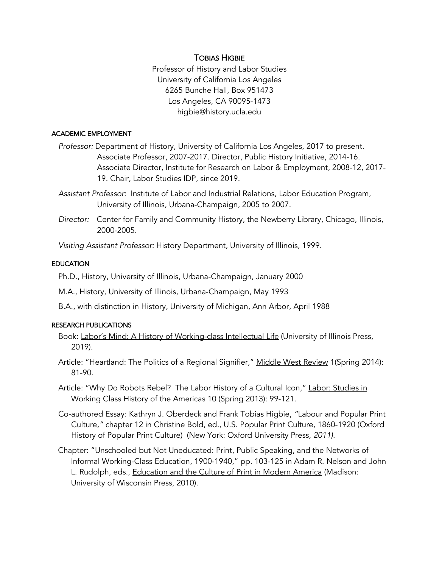# TOBIAS HIGBIE

Professor of History and Labor Studies University of California Los Angeles 6265 Bunche Hall, Box 951473 Los Angeles, CA 90095-1473 higbie@history.ucla.edu

### ACADEMIC EMPLOYMENT

- *Professor:* Department of History, University of California Los Angeles, 2017 to present. Associate Professor, 2007-2017. Director, Public History Initiative, 2014-16. Associate Director, Institute for Research on Labor & Employment, 2008-12, 2017- 19. Chair, Labor Studies IDP, since 2019.
- *Assistant Professor:* Institute of Labor and Industrial Relations, Labor Education Program, University of Illinois, Urbana-Champaign, 2005 to 2007.
- *Director:* Center for Family and Community History, the Newberry Library, Chicago, Illinois, 2000-2005.

*Visiting Assistant Professor:* History Department, University of Illinois, 1999.

## **EDUCATION**

- Ph.D., History, University of Illinois, Urbana-Champaign, January 2000
- M.A., History, University of Illinois, Urbana-Champaign, May 1993
- B.A., with distinction in History, University of Michigan, Ann Arbor, April 1988

## RESEARCH PUBLICATIONS

- Book: Labor's Mind: A History of Working-class Intellectual Life (University of Illinois Press, 2019).
- Article: "Heartland: The Politics of a Regional Signifier," Middle West Review 1(Spring 2014): 81-90.
- Article: "Why Do Robots Rebel? The Labor History of a Cultural Icon," Labor: Studies in Working Class History of the Americas 10 (Spring 2013): 99-121.
- Co-authored Essay: Kathryn J. Oberdeck and Frank Tobias Higbie, *"*Labour and Popular Print Culture*,"* chapter 12 in Christine Bold, ed*.,* U.S. Popular Print Culture, 1860-1920 (Oxford History of Popular Print Culture)(New York: Oxford University Press*, 2011).*
- Chapter: "Unschooled but Not Uneducated: Print, Public Speaking, and the Networks of Informal Working-Class Education, 1900-1940," pp. 103-125 in Adam R. Nelson and John L. Rudolph, eds., Education and the Culture of Print in Modern America (Madison: University of Wisconsin Press, 2010).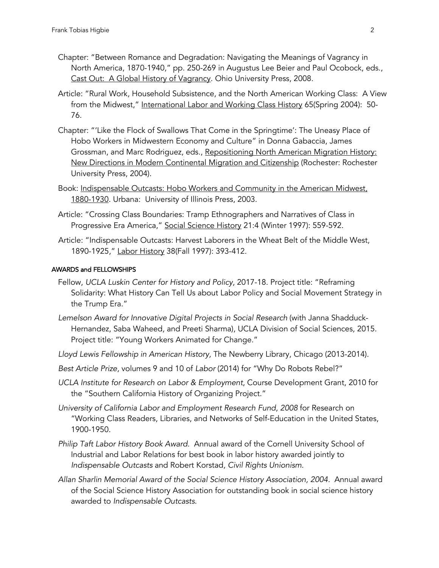- Chapter: "Between Romance and Degradation: Navigating the Meanings of Vagrancy in North America, 1870-1940," pp. 250-269 in Augustus Lee Beier and Paul Ocobock, eds., Cast Out: A Global History of Vagrancy. Ohio University Press, 2008.
- Article: "Rural Work, Household Subsistence, and the North American Working Class: A View from the Midwest," International Labor and Working Class History 65(Spring 2004): 50-76.
- Chapter: "'Like the Flock of Swallows That Come in the Springtime': The Uneasy Place of Hobo Workers in Midwestern Economy and Culture" in Donna Gabaccia, James Grossman, and Marc Rodriguez, eds., Repositioning North American Migration History: New Directions in Modern Continental Migration and Citizenship (Rochester: Rochester University Press, 2004).
- Book: Indispensable Outcasts: Hobo Workers and Community in the American Midwest, 1880-1930*.* Urbana: University of Illinois Press, 2003.
- Article: "Crossing Class Boundaries: Tramp Ethnographers and Narratives of Class in Progressive Era America," Social Science History 21:4 (Winter 1997): 559-592.
- Article: "Indispensable Outcasts: Harvest Laborers in the Wheat Belt of the Middle West, 1890-1925," Labor History 38(Fall 1997): 393-412.

## AWARDS and FELLOWSHIPS

- Fellow, *UCLA Luskin Center for History and Policy,* 2017-18. Project title: "Reframing Solidarity: What History Can Tell Us about Labor Policy and Social Movement Strategy in the Trump Era."
- *Lemelson Award for Innovative Digital Projects in Social Research* (with Janna Shadduck-Hernandez, Saba Waheed, and Preeti Sharma), UCLA Division of Social Sciences, 2015. Project title: "Young Workers Animated for Change."
- *Lloyd Lewis Fellowship in American History,* The Newberry Library, Chicago (2013-2014).
- *Best Article Prize*, volumes 9 and 10 of *Labor* (2014) for "Why Do Robots Rebel?"
- *UCLA Institute for Research on Labor & Employment*, Course Development Grant, 2010 for the "Southern California History of Organizing Project."
- *University of California Labor and Employment Research Fund, 2008* for Research on "Working Class Readers, Libraries, and Networks of Self-Education in the United States, 1900-1950.
- *Philip Taft Labor History Book Award.* Annual award of the Cornell University School of Industrial and Labor Relations for best book in labor history awarded jointly to *Indispensable Outcasts* and Robert Korstad, *Civil Rights Unionism*.
- *Allan Sharlin Memorial Award of the Social Science History Association, 2004.* Annual award of the Social Science History Association for outstanding book in social science history awarded to *Indispensable Outcasts*.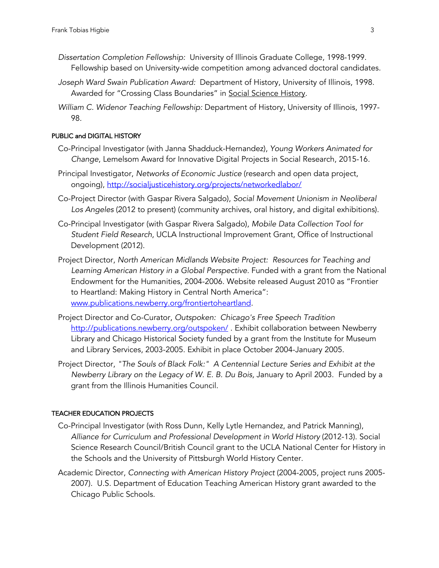- *Dissertation Completion Fellowship:* University of Illinois Graduate College, 1998-1999. Fellowship based on University-wide competition among advanced doctoral candidates.
- *Joseph Ward Swain Publication Award:* Department of History, University of Illinois, 1998. Awarded for "Crossing Class Boundaries" in Social Science History.
- *William C. Widenor Teaching Fellowship:* Department of History, University of Illinois, 1997- 98.

## PUBLIC and DIGITAL HISTORY

- Co-Principal Investigator (with Janna Shadduck-Hernandez), *Young Workers Animated for Change*, Lemelsom Award for Innovative Digital Projects in Social Research, 2015-16.
- Principal Investigator, *Networks of Economic Justice* (research and open data project, ongoing), http://socialjusticehistory.org/projects/networkedlabor/
- Co-Project Director (with Gaspar Rivera Salgado), *Social Movement Unionism in Neoliberal Los Angeles* (2012 to present) (community archives, oral history, and digital exhibitions).
- Co-Principal Investigator (with Gaspar Rivera Salgado), *Mobile Data Collection Tool for Student Field Research*, UCLA Instructional Improvement Grant, Office of Instructional Development (2012).
- Project Director, *North American Midlands Website Project: Resources for Teaching and Learning American History in a Global Perspective.* Funded with a grant from the National Endowment for the Humanities, 2004-2006. Website released August 2010 as "Frontier to Heartland: Making History in Central North America": www.publications.newberry.org/frontiertoheartland.
- Project Director and Co-Curator, *Outspoken: Chicago's Free Speech Tradition* http://publications.newberry.org/outspoken/ *.* Exhibit collaboration between Newberry Library and Chicago Historical Society funded by a grant from the Institute for Museum and Library Services, 2003-2005. Exhibit in place October 2004-January 2005.
- Project Director, *"The Souls of Black Folk:" A Centennial Lecture Series and Exhibit at the Newberry Library on the Legacy of W. E. B. Du Bois,* January to April 2003. Funded by a grant from the Illinois Humanities Council.

#### TEACHER EDUCATION PROJECTS

- Co-Principal Investigator (with Ross Dunn, Kelly Lytle Hernandez, and Patrick Manning), *Alliance for Curriculum and Professional Development in World History* (2012-13). Social Science Research Council/British Council grant to the UCLA National Center for History in the Schools and the University of Pittsburgh World History Center.
- Academic Director, *Connecting with American History Project* (2004-2005, project runs 2005- 2007)*.* U.S. Department of Education Teaching American History grant awarded to the Chicago Public Schools.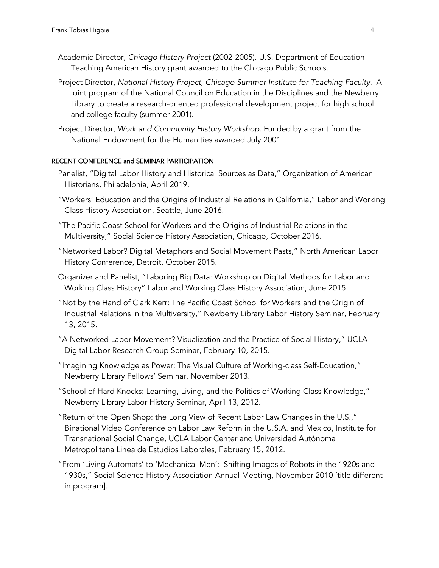- Academic Director, *Chicago History Project* (2002-2005). U.S. Department of Education Teaching American History grant awarded to the Chicago Public Schools.
- Project Director, *National History Project, Chicago Summer Institute for Teaching Faculty.* A joint program of the National Council on Education in the Disciplines and the Newberry Library to create a research-oriented professional development project for high school and college faculty (summer 2001).
- Project Director, *Work and Community History Workshop.* Funded by a grant from the National Endowment for the Humanities awarded July 2001.

#### RECENT CONFERENCE and SEMINAR PARTICIPATION

- Panelist, "Digital Labor History and Historical Sources as Data," Organization of American Historians, Philadelphia, April 2019.
- "Workers' Education and the Origins of Industrial Relations in California," Labor and Working Class History Association, Seattle, June 2016.
- "The Pacific Coast School for Workers and the Origins of Industrial Relations in the Multiversity," Social Science History Association, Chicago, October 2016.
- "Networked Labor? Digital Metaphors and Social Movement Pasts," North American Labor History Conference, Detroit, October 2015.
- Organizer and Panelist, "Laboring Big Data: Workshop on Digital Methods for Labor and Working Class History" Labor and Working Class History Association, June 2015.
- "Not by the Hand of Clark Kerr: The Pacific Coast School for Workers and the Origin of Industrial Relations in the Multiversity," Newberry Library Labor History Seminar, February 13, 2015.
- "A Networked Labor Movement? Visualization and the Practice of Social History," UCLA Digital Labor Research Group Seminar, February 10, 2015.
- "Imagining Knowledge as Power: The Visual Culture of Working-class Self-Education," Newberry Library Fellows' Seminar, November 2013.
- "School of Hard Knocks: Learning, Living, and the Politics of Working Class Knowledge," Newberry Library Labor History Seminar, April 13, 2012.
- "Return of the Open Shop: the Long View of Recent Labor Law Changes in the U.S.," Binational Video Conference on Labor Law Reform in the U.S.A. and Mexico, Institute for Transnational Social Change, UCLA Labor Center and Universidad Autónoma Metropolitana Linea de Estudios Laborales, February 15, 2012.
- "From 'Living Automats' to 'Mechanical Men': Shifting Images of Robots in the 1920s and 1930s," Social Science History Association Annual Meeting, November 2010 [title different in program].